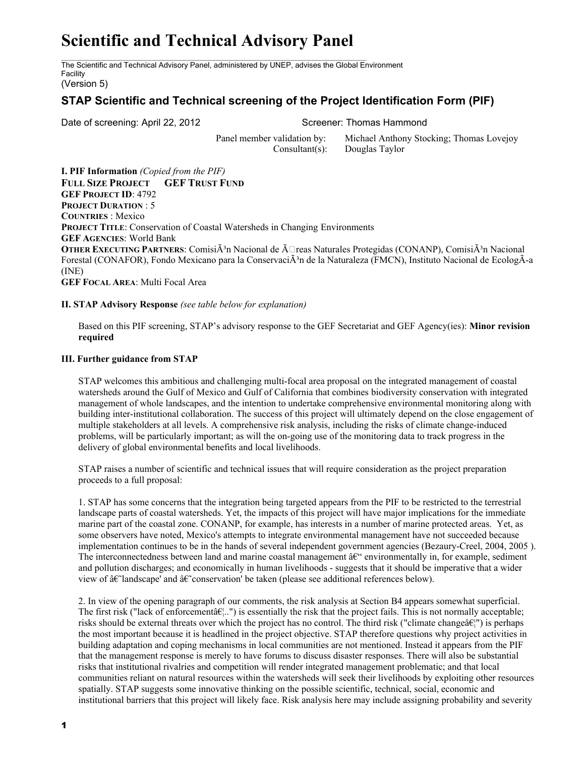# **Scientific and Technical Advisory Panel**

The Scientific and Technical Advisory Panel, administered by UNEP, advises the Global Environment Facility

(Version 5)

# **STAP Scientific and Technical screening of the Project Identification Form (PIF)**

Date of screening: April 22, 2012 Screener: Thomas Hammond

Panel member validation by: Michael Anthony Stocking; Thomas Lovejoy Consultant(s): Douglas Taylor

**I. PIF Information** *(Copied from the PIF)* **FULL SIZE PROJECT GEF TRUST FUND GEF PROJECT ID**: 4792 **PROJECT DURATION** : 5 **COUNTRIES** : Mexico **PROJECT TITLE**: Conservation of Coastal Watersheds in Changing Environments **GEF AGENCIES**: World Bank **OTHER EXECUTING PARTNERS:** ComisiÃ<sup>3</sup>n Nacional de Ã□reas Naturales Protegidas (CONANP), ComisiÃ<sup>3</sup>n Nacional Forestal (CONAFOR), Fondo Mexicano para la ConservaciÃ<sup>3</sup>n de la Naturaleza (FMCN), Instituto Nacional de EcologÃ-a (INE) **GEF FOCAL AREA**: Multi Focal Area

## **II. STAP Advisory Response** *(see table below for explanation)*

Based on this PIF screening, STAP's advisory response to the GEF Secretariat and GEF Agency(ies): **Minor revision required**

### **III. Further guidance from STAP**

STAP welcomes this ambitious and challenging multi-focal area proposal on the integrated management of coastal watersheds around the Gulf of Mexico and Gulf of California that combines biodiversity conservation with integrated management of whole landscapes, and the intention to undertake comprehensive environmental monitoring along with building interinstitutional collaboration. The success of this project will ultimately depend on the close engagement of multiple stakeholders at all levels. A comprehensive risk analysis, including the risks of climate change-induced problems, will be particularly important; as will the on-going use of the monitoring data to track progress in the delivery of global environmental benefits and local livelihoods.

STAP raises a number of scientific and technical issues that will require consideration as the project preparation proceeds to a full proposal:

1. STAP has some concerns that the integration being targeted appears from the PIF to be restricted to the terrestrial landscape parts of coastal watersheds. Yet, the impacts of this project will have major implications for the immediate marine part of the coastal zone. CONANP, for example, has interests in a number of marine protected areas. Yet, as some observers have noted, Mexico's attempts to integrate environmental management have not succeeded because implementation continues to be in the hands of several independent government agencies (Bezaury-Creel, 2004, 2005). The interconnectedness between land and marine coastal management  $\hat{a}\epsilon^{\mu}$  environmentally in, for example, sediment and pollution discharges; and economically in human livelihoods - suggests that it should be imperative that a wider view of  $\hat{a} \in \hat{c}$  and  $\hat{a} \in \hat{c}$  conservation' be taken (please see additional references below).

2. In view of the opening paragraph of our comments, the risk analysis at Section B4 appears somewhat superficial. The first risk ("lack of enforcement $\hat{a} \in L$ ") is essentially the risk that the project fails. This is not normally acceptable; risks should be external threats over which the project has no control. The third risk ("climate change $\hat{a}\epsilon$ ") is perhaps the most important because it is headlined in the project objective. STAP therefore questions why project activities in building adaptation and coping mechanisms in local communities are not mentioned. Instead it appears from the PIF that the management response is merely to have forums to discuss disaster responses. There will also be substantial risks that institutional rivalries and competition will render integrated management problematic; and that local communities reliant on natural resources within the watersheds will seek their livelihoods by exploiting other resources spatially. STAP suggests some innovative thinking on the possible scientific, technical, social, economic and institutional barriers that this project will likely face. Risk analysis here may include assigning probability and severity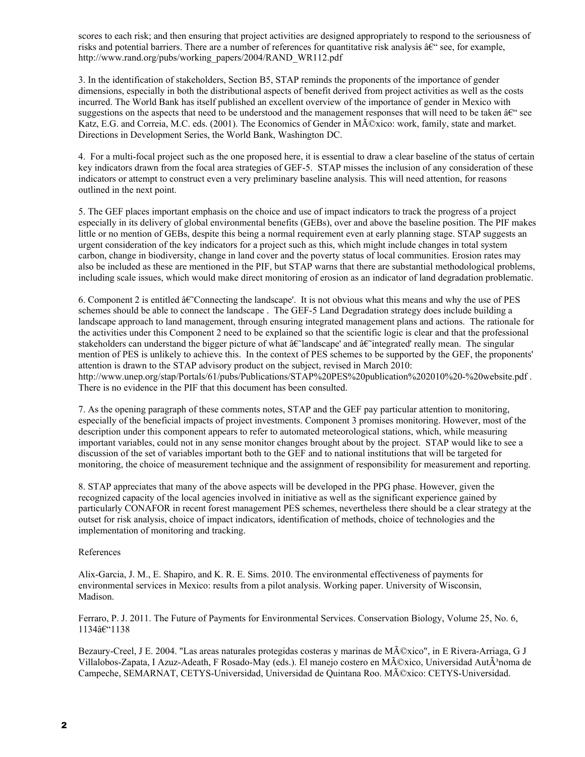scores to each risk; and then ensuring that project activities are designed appropriately to respond to the seriousness of risks and potential barriers. There are a number of references for quantitative risk analysis  $\hat{a}\in\hat{C}$  see, for example, http://www.rand.org/pubs/working\_papers/2004/RAND\_WR112.pdf

3. In the identification of stakeholders, Section B5, STAP reminds the proponents of the importance of gender dimensions, especially in both the distributional aspects of benefit derived from project activities as well as the costs incurred. The World Bank has itself published an excellent overview of the importance of gender in Mexico with suggestions on the aspects that need to be understood and the management responses that will need to be taken  $\hat{a}\epsilon^{\alpha}$  see Katz, E.G. and Correia, M.C. eds. (2001). The Economics of Gender in M©xico: work, family, state and market. Directions in Development Series, the World Bank, Washington DC.

4. For a multi-focal project such as the one proposed here, it is essential to draw a clear baseline of the status of certain key indicators drawn from the focal area strategies of GEF5. STAP misses the inclusion of any consideration of these indicators or attempt to construct even a very preliminary baseline analysis. This will need attention, for reasons outlined in the next point.

5. The GEF places important emphasis on the choice and use of impact indicators to track the progress of a project especially in its delivery of global environmental benefits (GEBs), over and above the baseline position. The PIF makes little or no mention of GEBs, despite this being a normal requirement even at early planning stage. STAP suggests an urgent consideration of the key indicators for a project such as this, which might include changes in total system carbon, change in biodiversity, change in land cover and the poverty status of local communities. Erosion rates may also be included as these are mentioned in the PIF, but STAP warns that there are substantial methodological problems, including scale issues, which would make direct monitoring of erosion as an indicator of land degradation problematic.

6. Component 2 is entitled  $\hat{a} \in \mathbb{C}$ Connecting the landscape'. It is not obvious what this means and why the use of PES schemes should be able to connect the landscape. The GEF-5 Land Degradation strategy does include building a landscape approach to land management, through ensuring integrated management plans and actions. The rationale for the activities under this Component 2 need to be explained so that the scientific logic is clear and that the professional stakeholders can understand the bigger picture of what  $\hat{a}\hat{\epsilon}$  and  $\hat{a}\hat{\epsilon}$  and  $\hat{a}\hat{\epsilon}$  really mean. The singular mention of PES is unlikely to achieve this. In the context of PES schemes to be supported by the GEF, the proponents' attention is drawn to the STAP advisory product on the subject, revised in March 2010: http://www.unep.org/stap/Portals/61/pubs/Publications/STAP%20PES%20publication%202010%20-%20website.pdf . There is no evidence in the PIF that this document has been consulted.

7. As the opening paragraph of these comments notes, STAP and the GEF pay particular attention to monitoring, especially of the beneficial impacts of project investments. Component 3 promises monitoring. However, most of the description under this component appears to refer to automated meteorological stations, which, while measuring important variables, could not in any sense monitor changes brought about by the project. STAP would like to see a discussion of the set of variables important both to the GEF and to national institutions that will be targeted for monitoring, the choice of measurement technique and the assignment of responsibility for measurement and reporting.

8. STAP appreciates that many of the above aspects will be developed in the PPG phase. However, given the recognized capacity of the local agencies involved in initiative as well as the significant experience gained by particularly CONAFOR in recent forest management PES schemes, nevertheless there should be a clear strategy at the outset for risk analysis, choice of impact indicators, identification of methods, choice of technologies and the implementation of monitoring and tracking.

### References

AlixGarcia, J. M., E. Shapiro, and K. R. E. Sims. 2010. The environmental effectiveness of payments for environmental services in Mexico: results from a pilot analysis. Working paper. University of Wisconsin, Madison.

Ferraro, P. J. 2011. The Future of Payments for Environmental Services. Conservation Biology, Volume 25, No. 6,  $1134\hat{a}$ <sup>e</sup> 1138

Bezaury-Creel, J E. 2004. "Las areas naturales protegidas costeras y marinas de México", in E Rivera-Arriaga, G J Villalobos-Zapata, I Azuz-Adeath, F Rosado-May (eds.). El manejo costero en México, Universidad AutÃ<sup>3</sup>noma de Campeche, SEMARNAT, CETYS-Universidad, Universidad de Quintana Roo. México: CETYS-Universidad.